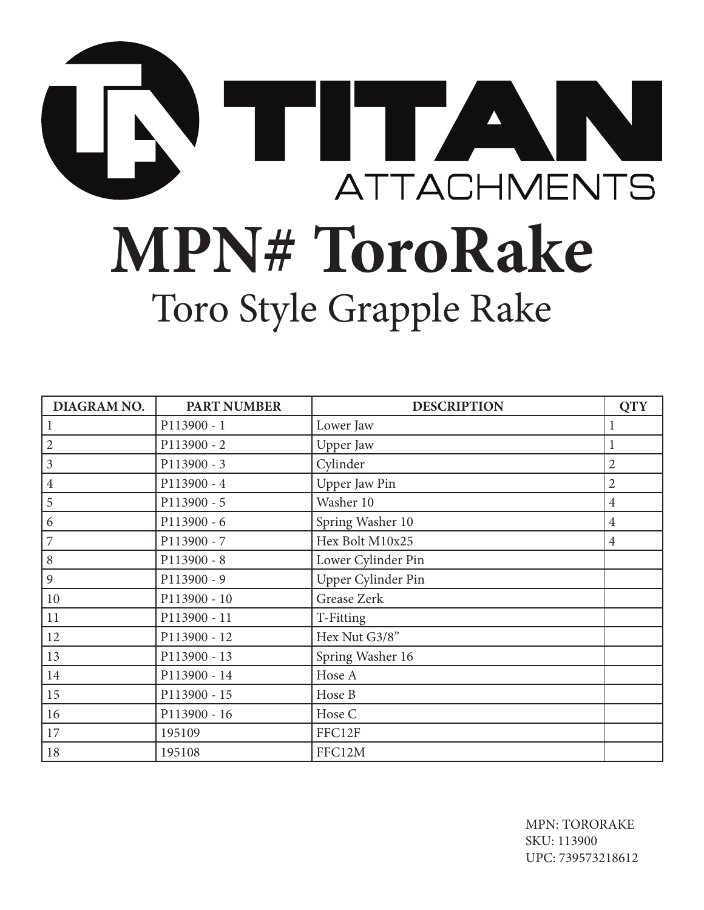

| DIAGRAM NO.    | <b>PART NUMBER</b> | <b>DESCRIPTION</b> | <b>QTY</b>     |
|----------------|--------------------|--------------------|----------------|
|                | P113900 - 1        | Lower Jaw          | 1              |
| 2              | P113900 - 2        | Upper Jaw          | 1              |
| 3              | P113900 - 3        | Cylinder           | $\overline{2}$ |
| $\overline{4}$ | P113900 - 4        | Upper Jaw Pin      | $\overline{2}$ |
| 5              | P113900 - 5        | Washer 10          | $\overline{4}$ |
| 6              | P113900 - 6        | Spring Washer 10   | $\overline{4}$ |
| 7              | P113900 - 7        | Hex Bolt M10x25    | $\overline{4}$ |
| 8              | P113900 - 8        | Lower Cylinder Pin |                |
| 9              | P113900 - 9        | Upper Cylinder Pin |                |
| 10             | P113900 - 10       | Grease Zerk        |                |
| 11             | P113900 - 11       | T-Fitting          |                |
| 12             | P113900 - 12       | Hex Nut G3/8"      |                |
| 13             | P113900 - 13       | Spring Washer 16   |                |
| 14             | P113900 - 14       | Hose A             |                |
| 15             | P113900 - 15       | Hose B             |                |
| 16             | P113900 - 16       | Hose C             |                |
| $17\,$         | 195109             | FFC12F             |                |
| 18             | 195108             | FFC12M             |                |